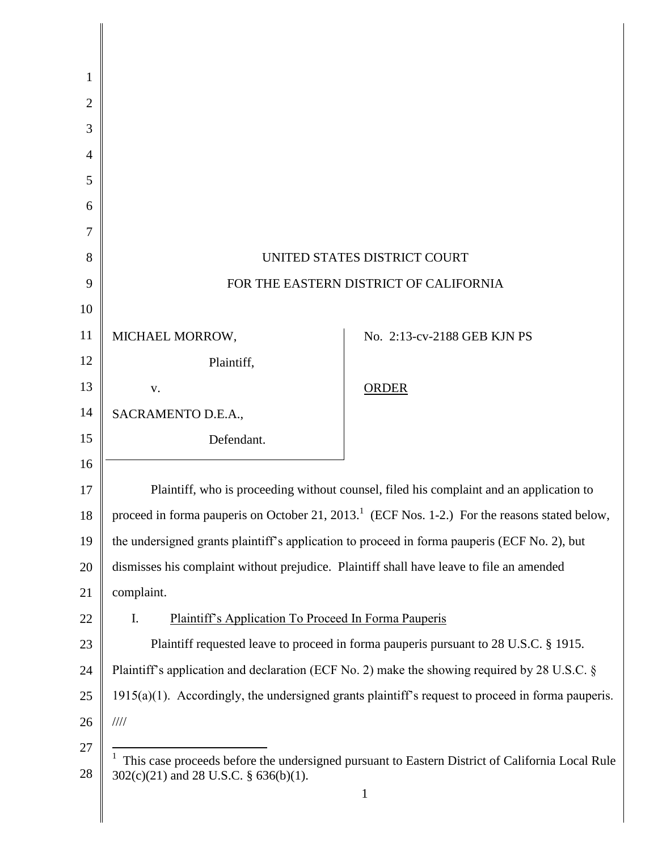| 1              |                                                                                                                 |                                                                                              |
|----------------|-----------------------------------------------------------------------------------------------------------------|----------------------------------------------------------------------------------------------|
| $\overline{2}$ |                                                                                                                 |                                                                                              |
| 3              |                                                                                                                 |                                                                                              |
| $\overline{4}$ |                                                                                                                 |                                                                                              |
| 5              |                                                                                                                 |                                                                                              |
| 6              |                                                                                                                 |                                                                                              |
| 7              |                                                                                                                 |                                                                                              |
| 8              | UNITED STATES DISTRICT COURT                                                                                    |                                                                                              |
| 9              | FOR THE EASTERN DISTRICT OF CALIFORNIA                                                                          |                                                                                              |
| 10             |                                                                                                                 |                                                                                              |
| 11             | MICHAEL MORROW,                                                                                                 | No. 2:13-cv-2188 GEB KJN PS                                                                  |
| 12             | Plaintiff,                                                                                                      |                                                                                              |
| 13             | ${\bf V}$ .                                                                                                     | <b>ORDER</b>                                                                                 |
| 14             | SACRAMENTO D.E.A.,                                                                                              |                                                                                              |
| 15             | Defendant.                                                                                                      |                                                                                              |
| 16             |                                                                                                                 |                                                                                              |
| 17             | Plaintiff, who is proceeding without counsel, filed his complaint and an application to                         |                                                                                              |
| 18             | proceed in forma pauperis on October 21, 2013. <sup>1</sup> (ECF Nos. 1-2.) For the reasons stated below,       |                                                                                              |
| 19             |                                                                                                                 | the undersigned grants plaintiff's application to proceed in forma pauperis (ECF No. 2), but |
| 20             | dismisses his complaint without prejudice. Plaintiff shall have leave to file an amended                        |                                                                                              |
| 21             | complaint.                                                                                                      |                                                                                              |
| 22             | <b>Plaintiff's Application To Proceed In Forma Pauperis</b><br>I.                                               |                                                                                              |
| 23             | Plaintiff requested leave to proceed in forma pauperis pursuant to 28 U.S.C. § 1915.                            |                                                                                              |
| 24             | Plaintiff's application and declaration (ECF No. 2) make the showing required by 28 U.S.C. $\S$                 |                                                                                              |
| 25             | $1915(a)(1)$ . Accordingly, the undersigned grants plaintiff's request to proceed in forma pauperis.            |                                                                                              |
| 26             | $\frac{1}{1}$                                                                                                   |                                                                                              |
| 27             | This case proceeds before the undersigned pursuant to Eastern District of California Local Rule<br>$\mathbf{I}$ |                                                                                              |
| 28             | 302(c)(21) and 28 U.S.C. § 636(b)(1).                                                                           |                                                                                              |
|                |                                                                                                                 |                                                                                              |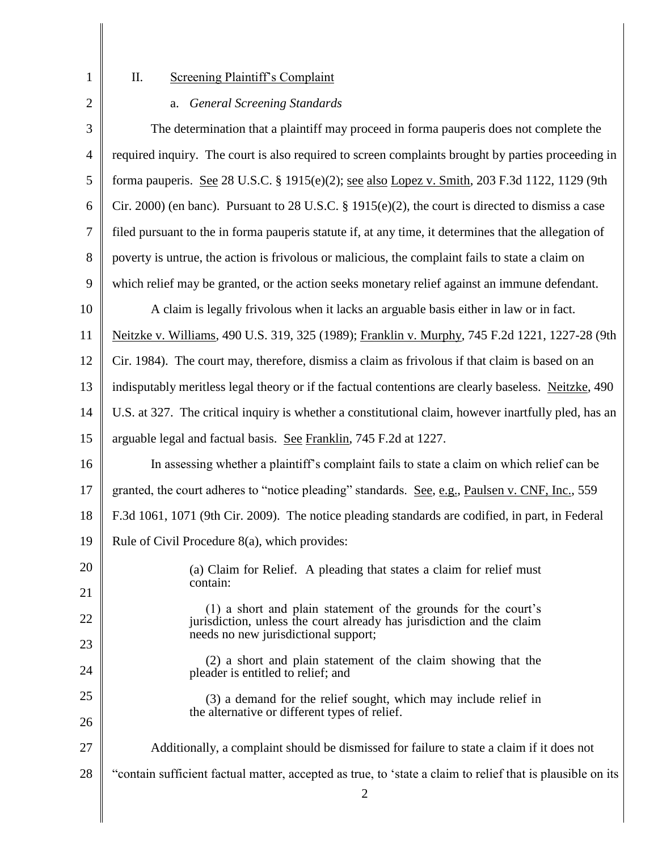1

## II. Screening Plaintiff's Complaint

2 3 4 5 6 7 8 9 10 11 12 13 14 15 16 17 18 19 20 21 22 23 24 25 26 27 28 2 a. *General Screening Standards* The determination that a plaintiff may proceed in forma pauperis does not complete the required inquiry. The court is also required to screen complaints brought by parties proceeding in forma pauperis. See 28 U.S.C. § 1915(e)(2); see also Lopez v. Smith, 203 F.3d 1122, 1129 (9th Cir. 2000) (en banc). Pursuant to 28 U.S.C. § 1915(e)(2), the court is directed to dismiss a case filed pursuant to the in forma pauperis statute if, at any time, it determines that the allegation of poverty is untrue, the action is frivolous or malicious, the complaint fails to state a claim on which relief may be granted, or the action seeks monetary relief against an immune defendant. A claim is legally frivolous when it lacks an arguable basis either in law or in fact. Neitzke v. Williams, 490 U.S. 319, 325 (1989); Franklin v. Murphy, 745 F.2d 1221, 1227-28 (9th Cir. 1984). The court may, therefore, dismiss a claim as frivolous if that claim is based on an indisputably meritless legal theory or if the factual contentions are clearly baseless. Neitzke, 490 U.S. at 327. The critical inquiry is whether a constitutional claim, however inartfully pled, has an arguable legal and factual basis. See Franklin, 745 F.2d at 1227. In assessing whether a plaintiff's complaint fails to state a claim on which relief can be granted, the court adheres to "notice pleading" standards. See, e.g., Paulsen v. CNF, Inc., 559 F.3d 1061, 1071 (9th Cir. 2009). The notice pleading standards are codified, in part, in Federal Rule of Civil Procedure 8(a), which provides: (a) Claim for Relief. A pleading that states a claim for relief must contain: (1) a short and plain statement of the grounds for the court's jurisdiction, unless the court already has jurisdiction and the claim needs no new jurisdictional support; (2) a short and plain statement of the claim showing that the pleader is entitled to relief; and (3) a demand for the relief sought, which may include relief in the alternative or different types of relief. Additionally, a complaint should be dismissed for failure to state a claim if it does not "contain sufficient factual matter, accepted as true, to 'state a claim to relief that is plausible on its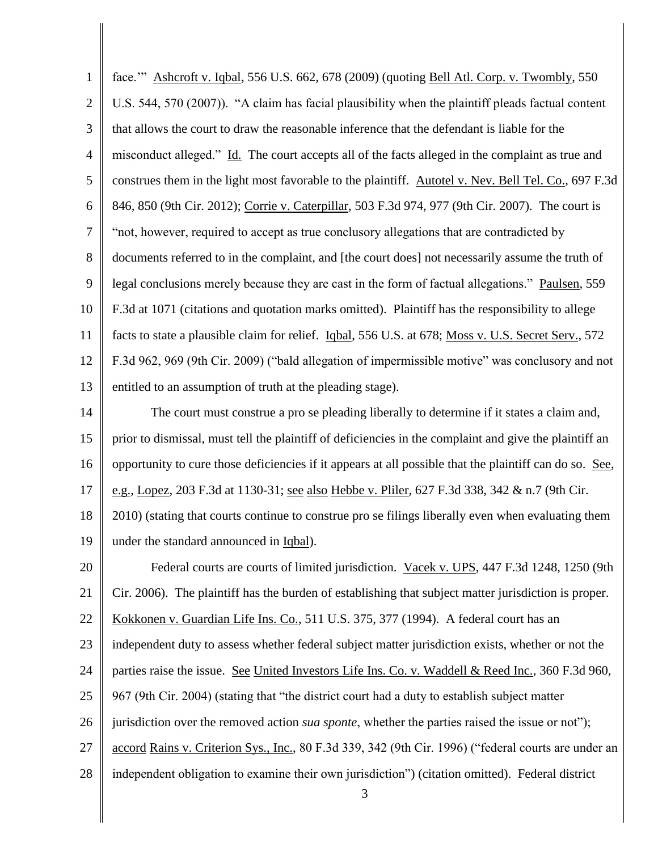1 2 3 4 5 6 7 8 9 10 11 12 13 14 15 16 17 18 19 20 21 22 23 24 25 26 27 28 3 face.'" Ashcroft v. Iqbal, 556 U.S. 662, 678 (2009) (quoting Bell Atl. Corp. v. Twombly, 550 U.S. 544, 570 (2007)). "A claim has facial plausibility when the plaintiff pleads factual content that allows the court to draw the reasonable inference that the defendant is liable for the misconduct alleged." Id. The court accepts all of the facts alleged in the complaint as true and construes them in the light most favorable to the plaintiff. Autotel v. Nev. Bell Tel. Co., 697 F.3d 846, 850 (9th Cir. 2012); Corrie v. Caterpillar, 503 F.3d 974, 977 (9th Cir. 2007). The court is "not, however, required to accept as true conclusory allegations that are contradicted by documents referred to in the complaint, and [the court does] not necessarily assume the truth of legal conclusions merely because they are cast in the form of factual allegations." Paulsen, 559 F.3d at 1071 (citations and quotation marks omitted). Plaintiff has the responsibility to allege facts to state a plausible claim for relief. Iqbal, 556 U.S. at 678; Moss v. U.S. Secret Serv., 572 F.3d 962, 969 (9th Cir. 2009) ("bald allegation of impermissible motive" was conclusory and not entitled to an assumption of truth at the pleading stage). The court must construe a pro se pleading liberally to determine if it states a claim and, prior to dismissal, must tell the plaintiff of deficiencies in the complaint and give the plaintiff an opportunity to cure those deficiencies if it appears at all possible that the plaintiff can do so. See, e.g., Lopez, 203 F.3d at 1130-31; see also Hebbe v. Pliler, 627 F.3d 338, 342 & n.7 (9th Cir. 2010) (stating that courts continue to construe pro se filings liberally even when evaluating them under the standard announced in Iqbal). Federal courts are courts of limited jurisdiction. Vacek v. UPS, 447 F.3d 1248, 1250 (9th Cir. 2006). The plaintiff has the burden of establishing that subject matter jurisdiction is proper. Kokkonen v. Guardian Life Ins. Co., 511 U.S. 375, 377 (1994). A federal court has an independent duty to assess whether federal subject matter jurisdiction exists, whether or not the parties raise the issue. See United Investors Life Ins. Co. v. Waddell & Reed Inc., 360 F.3d 960, 967 (9th Cir. 2004) (stating that "the district court had a duty to establish subject matter jurisdiction over the removed action *sua sponte*, whether the parties raised the issue or not"); accord Rains v. Criterion Sys., Inc., 80 F.3d 339, 342 (9th Cir. 1996) ("federal courts are under an independent obligation to examine their own jurisdiction") (citation omitted). Federal district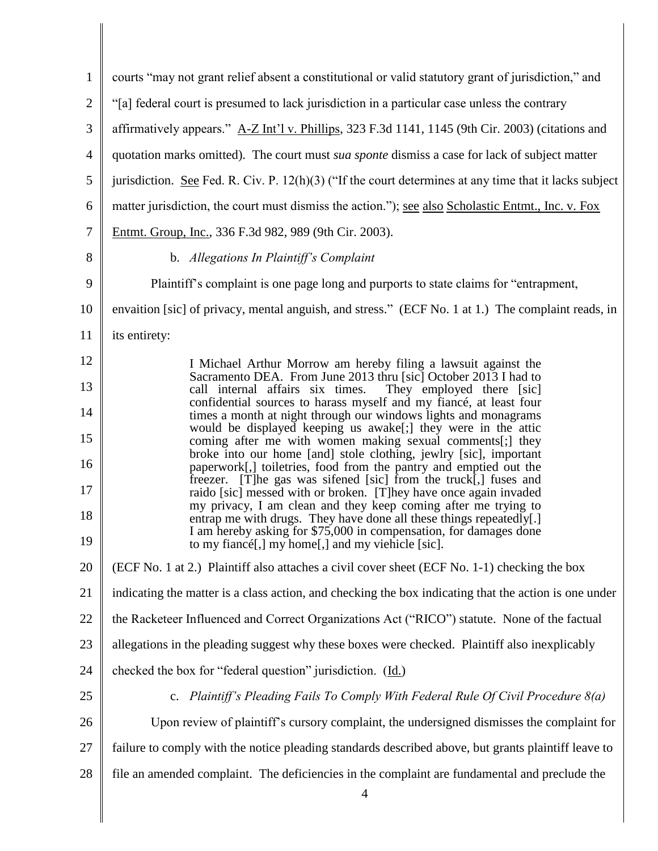| $\mathbf{1}$   | courts "may not grant relief absent a constitutional or valid statutory grant of jurisdiction," and                                                                                                        |
|----------------|------------------------------------------------------------------------------------------------------------------------------------------------------------------------------------------------------------|
| $\overline{2}$ | "[a] federal court is presumed to lack jurisdiction in a particular case unless the contrary                                                                                                               |
| 3              | affirmatively appears." A-Z Int'l v. Phillips, 323 F.3d 1141, 1145 (9th Cir. 2003) (citations and                                                                                                          |
| $\overline{4}$ | quotation marks omitted). The court must sua sponte dismiss a case for lack of subject matter                                                                                                              |
| 5              | jurisdiction. See Fed. R. Civ. P. $12(h)(3)$ ("If the court determines at any time that it lacks subject                                                                                                   |
| 6              | matter jurisdiction, the court must dismiss the action."); <u>see also Scholastic Entmt.</u> , Inc. v. Fox                                                                                                 |
| 7              | Entmt. Group, Inc., 336 F.3d 982, 989 (9th Cir. 2003).                                                                                                                                                     |
| 8              | b. Allegations In Plaintiff's Complaint                                                                                                                                                                    |
| 9              | Plaintiff's complaint is one page long and purports to state claims for "entrapment,                                                                                                                       |
| 10             | envaition [sic] of privacy, mental anguish, and stress." (ECF No. 1 at 1.) The complaint reads, in                                                                                                         |
| 11             | its entirety:                                                                                                                                                                                              |
| 12             | I Michael Arthur Morrow am hereby filing a lawsuit against the                                                                                                                                             |
| 13             | Sacramento DEA. From June 2013 thru [sic] October 2013 I had to<br>call internal affairs six times.<br>They employed there [sic]                                                                           |
| 14             | confidential sources to harass myself and my fiancé, at least four<br>times a month at night through our windows lights and monagrams                                                                      |
| 15             | would be displayed keeping us awake[;] they were in the attic<br>coming after me with women making sexual comments[;] they                                                                                 |
| 16             | broke into our home [and] stole clothing, jewlry [sic], important<br>paperwork[,] toiletries, food from the pantry and emptied out the                                                                     |
| 17             | freezer. [T]he gas was sifened [sic] from the truck[,] fuses and<br>raido [sic] messed with or broken. [T]hey have once again invaded                                                                      |
| 18             | my privacy, I am clean and they keep coming after me trying to<br>entrap me with drugs. They have done all these things repeatedly[.]<br>I am hereby asking for \$75,000 in compensation, for damages done |
| 19             | to my fiancé[,] my home[,] and my viehicle [sic].                                                                                                                                                          |
| 20             | (ECF No. 1 at 2.) Plaintiff also attaches a civil cover sheet (ECF No. 1-1) checking the box                                                                                                               |
| 21             | indicating the matter is a class action, and checking the box indicating that the action is one under                                                                                                      |
| 22             | the Racketeer Influenced and Correct Organizations Act ("RICO") statute. None of the factual                                                                                                               |
| 23             | allegations in the pleading suggest why these boxes were checked. Plaintiff also inexplicably                                                                                                              |
| 24             | checked the box for "federal question" jurisdiction. (Id.)                                                                                                                                                 |
| 25             | c. Plaintiff's Pleading Fails To Comply With Federal Rule Of Civil Procedure $8(a)$                                                                                                                        |
| 26             | Upon review of plaintiff's cursory complaint, the undersigned dismisses the complaint for                                                                                                                  |
| 27             | failure to comply with the notice pleading standards described above, but grants plaintiff leave to                                                                                                        |
| 28             | file an amended complaint. The deficiencies in the complaint are fundamental and preclude the<br>$\overline{\mathcal{A}}$                                                                                  |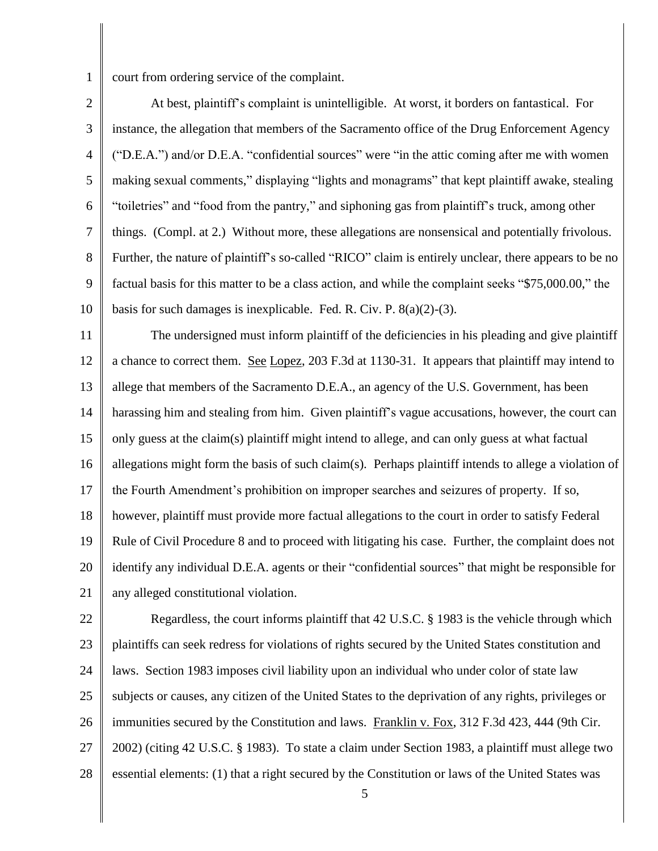1

court from ordering service of the complaint.

2 3 4 5 6 7 8 9 10 At best, plaintiff's complaint is unintelligible. At worst, it borders on fantastical. For instance, the allegation that members of the Sacramento office of the Drug Enforcement Agency ("D.E.A.") and/or D.E.A. "confidential sources" were "in the attic coming after me with women making sexual comments," displaying "lights and monagrams" that kept plaintiff awake, stealing "toiletries" and "food from the pantry," and siphoning gas from plaintiff's truck, among other things. (Compl. at 2.) Without more, these allegations are nonsensical and potentially frivolous. Further, the nature of plaintiff's so-called "RICO" claim is entirely unclear, there appears to be no factual basis for this matter to be a class action, and while the complaint seeks "\$75,000.00," the basis for such damages is inexplicable. Fed. R. Civ. P. 8(a)(2)-(3).

11 12 13 14 15 16 17 18 19 20 21 The undersigned must inform plaintiff of the deficiencies in his pleading and give plaintiff a chance to correct them. See Lopez, 203 F.3d at 1130-31. It appears that plaintiff may intend to allege that members of the Sacramento D.E.A., an agency of the U.S. Government, has been harassing him and stealing from him. Given plaintiff's vague accusations, however, the court can only guess at the claim(s) plaintiff might intend to allege, and can only guess at what factual allegations might form the basis of such claim(s). Perhaps plaintiff intends to allege a violation of the Fourth Amendment's prohibition on improper searches and seizures of property. If so, however, plaintiff must provide more factual allegations to the court in order to satisfy Federal Rule of Civil Procedure 8 and to proceed with litigating his case. Further, the complaint does not identify any individual D.E.A. agents or their "confidential sources" that might be responsible for any alleged constitutional violation.

22 23 24 25 26 27 28 Regardless, the court informs plaintiff that 42 U.S.C. § 1983 is the vehicle through which plaintiffs can seek redress for violations of rights secured by the United States constitution and laws. Section 1983 imposes civil liability upon an individual who under color of state law subjects or causes, any citizen of the United States to the deprivation of any rights, privileges or immunities secured by the Constitution and laws. Franklin v. Fox, 312 F.3d 423, 444 (9th Cir. 2002) (citing 42 U.S.C. § 1983). To state a claim under Section 1983, a plaintiff must allege two essential elements: (1) that a right secured by the Constitution or laws of the United States was

5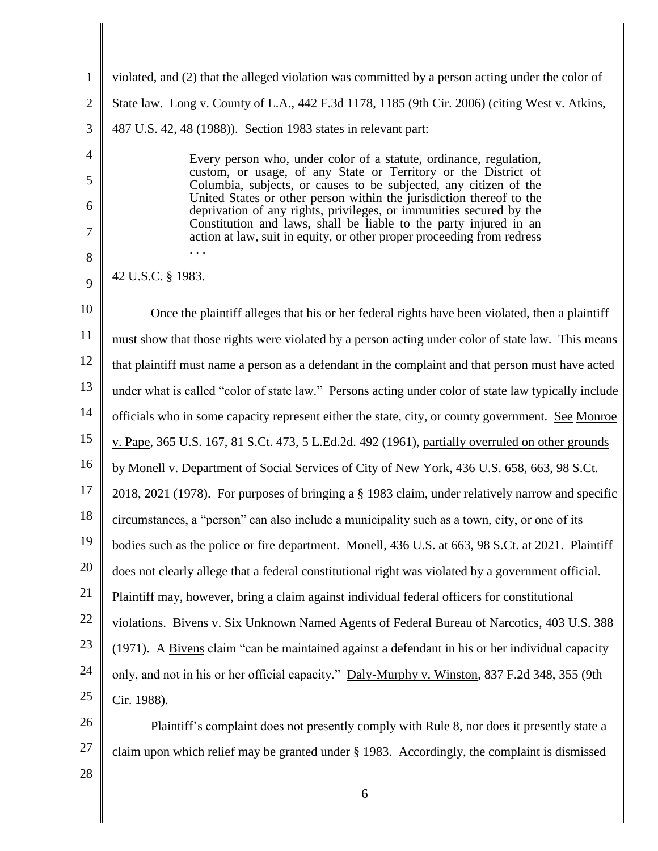| $\mathbf{1}$   | violated, and (2) that the alleged violation was committed by a person acting under the color of                                            |
|----------------|---------------------------------------------------------------------------------------------------------------------------------------------|
| $\overline{2}$ | State law. Long v. County of L.A., 442 F.3d 1178, 1185 (9th Cir. 2006) (citing West v. Atkins,                                              |
| 3              | 487 U.S. 42, 48 (1988)). Section 1983 states in relevant part:                                                                              |
| $\overline{4}$ | Every person who, under color of a statute, ordinance, regulation,                                                                          |
| 5              | custom, or usage, of any State or Territory or the District of<br>Columbia, subjects, or causes to be subjected, any citizen of the         |
| 6              | United States or other person within the jurisdiction thereof to the<br>deprivation of any rights, privileges, or immunities secured by the |
| 7              | Constitution and laws, shall be liable to the party injured in an<br>action at law, suit in equity, or other proper proceeding from redress |
| 8              |                                                                                                                                             |
| 9              | 42 U.S.C. § 1983.                                                                                                                           |
| 10             | Once the plaintiff alleges that his or her federal rights have been violated, then a plaintiff                                              |
| 11             | must show that those rights were violated by a person acting under color of state law. This means                                           |
| 12             | that plaintiff must name a person as a defendant in the complaint and that person must have acted                                           |
| 13             | under what is called "color of state law." Persons acting under color of state law typically include                                        |
| 14             | officials who in some capacity represent either the state, city, or county government. See Monroe                                           |
| 15             | v. Pape, 365 U.S. 167, 81 S.Ct. 473, 5 L.Ed.2d. 492 (1961), partially overruled on other grounds                                            |
| 16             | by Monell v. Department of Social Services of City of New York, 436 U.S. 658, 663, 98 S.Ct.                                                 |
| 17             | 2018, 2021 (1978). For purposes of bringing a § 1983 claim, under relatively narrow and specific                                            |
| 18             | circumstances, a "person" can also include a municipality such as a town, city, or one of its                                               |
| 19             | bodies such as the police or fire department. Monell, 436 U.S. at 663, 98 S.Ct. at 2021. Plaintiff                                          |
| 20             | does not clearly allege that a federal constitutional right was violated by a government official.                                          |
| 21             | Plaintiff may, however, bring a claim against individual federal officers for constitutional                                                |
| 22             | violations. Bivens v. Six Unknown Named Agents of Federal Bureau of Narcotics, 403 U.S. 388                                                 |
| 23             | (1971). A Bivens claim "can be maintained against a defendant in his or her individual capacity                                             |
| 24             | only, and not in his or her official capacity." Daly-Murphy v. Winston, 837 F.2d 348, 355 (9th                                              |
| 25             | Cir. 1988).                                                                                                                                 |
| 26             | Plaintiff's complaint does not presently comply with Rule 8, nor does it presently state a                                                  |
| 27             | claim upon which relief may be granted under § 1983. Accordingly, the complaint is dismissed                                                |
| 28             |                                                                                                                                             |

6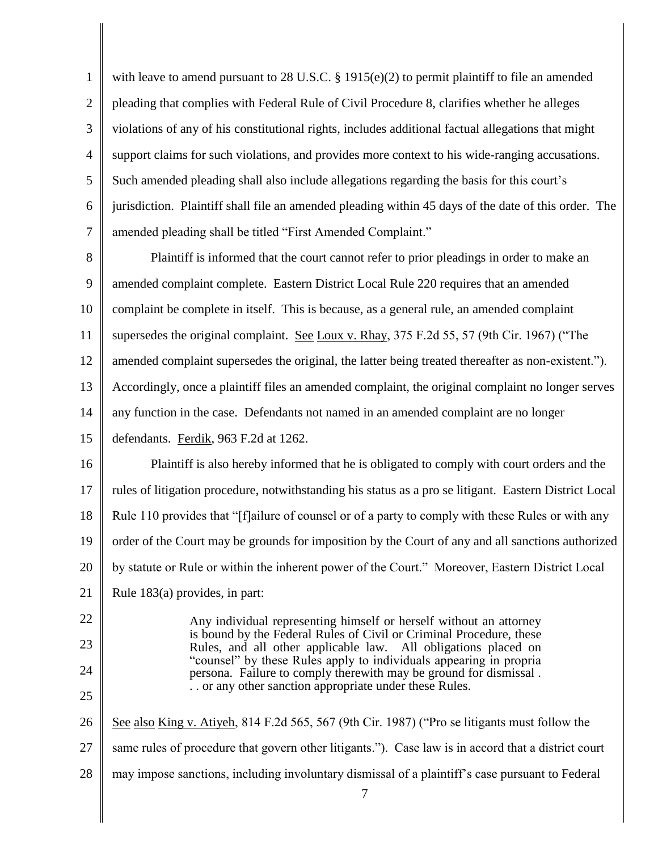| $\mathbf{1}$   | with leave to amend pursuant to 28 U.S.C. $\S$ 1915(e)(2) to permit plaintiff to file an amended                                        |
|----------------|-----------------------------------------------------------------------------------------------------------------------------------------|
| $\overline{2}$ | pleading that complies with Federal Rule of Civil Procedure 8, clarifies whether he alleges                                             |
| 3              | violations of any of his constitutional rights, includes additional factual allegations that might                                      |
| $\overline{4}$ | support claims for such violations, and provides more context to his wide-ranging accusations.                                          |
| 5              | Such amended pleading shall also include allegations regarding the basis for this court's                                               |
| 6              | jurisdiction. Plaintiff shall file an amended pleading within 45 days of the date of this order. The                                    |
| $\tau$         | amended pleading shall be titled "First Amended Complaint."                                                                             |
| 8              | Plaintiff is informed that the court cannot refer to prior pleadings in order to make an                                                |
| 9              | amended complaint complete. Eastern District Local Rule 220 requires that an amended                                                    |
| 10             | complaint be complete in itself. This is because, as a general rule, an amended complaint                                               |
| 11             | supersedes the original complaint. See Loux v. Rhay, 375 F.2d 55, 57 (9th Cir. 1967) ("The                                              |
| 12             | amended complaint supersedes the original, the latter being treated thereafter as non-existent.").                                      |
| 13             | Accordingly, once a plaintiff files an amended complaint, the original complaint no longer serves                                       |
| 14             | any function in the case. Defendants not named in an amended complaint are no longer                                                    |
| 15             | defendants. Ferdik, 963 F.2d at 1262.                                                                                                   |
| 16             | Plaintiff is also hereby informed that he is obligated to comply with court orders and the                                              |
| 17             | rules of litigation procedure, notwithstanding his status as a pro se litigant. Eastern District Local                                  |
| 18             | Rule 110 provides that "[f]ailure of counsel or of a party to comply with these Rules or with any                                       |
| 19             | order of the Court may be grounds for imposition by the Court of any and all sanctions authorized                                       |
| 20             | by statute or Rule or within the inherent power of the Court." Moreover, Eastern District Local                                         |
| 21             | Rule 183(a) provides, in part:                                                                                                          |
| 22             | Any individual representing himself or herself without an attorney                                                                      |
| 23             | is bound by the Federal Rules of Civil or Criminal Procedure, these<br>Rules, and all other applicable law. All obligations placed on   |
| 24             | "counsel" by these Rules apply to individuals appearing in propria<br>persona. Failure to comply therewith may be ground for dismissal. |
| 25             | or any other sanction appropriate under these Rules.                                                                                    |
|                |                                                                                                                                         |

26 27 See also King v. Atiyeh, 814 F.2d 565, 567 (9th Cir. 1987) ("Pro se litigants must follow the same rules of procedure that govern other litigants."). Case law is in accord that a district court

28 may impose sanctions, including involuntary dismissal of a plaintiff's case pursuant to Federal